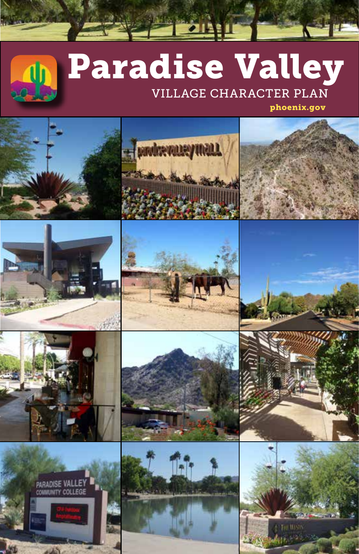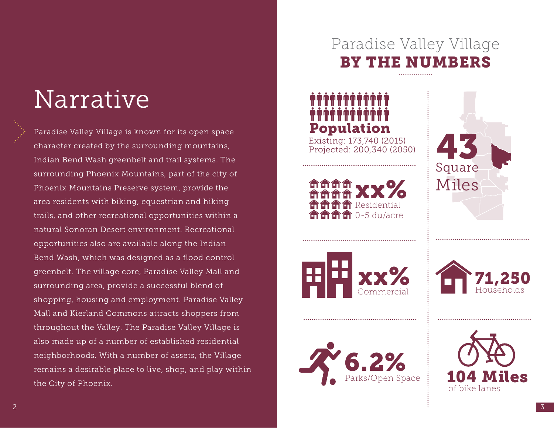# Narrative

Paradise Valley Village is known for its open space character created by the surrounding mountains, Indian Bend Wash greenbelt and trail systems. The surrounding Phoenix Mountains, part of the city of Phoenix Mountains Preserve system, provide the area residents with biking, equestrian and hiking trails, and other recreational opportunities within a natural Sonoran Desert environment. Recreational opportunities also are available along the Indian Bend Wash, which was designed as a flood control greenbelt. The village core, Paradise Valley Mall and surrounding area, provide a successful blend of shopping, housing and employment. Paradise Valley Mall and Kierland Commons attracts shoppers from throughout the Valley. The Paradise Valley Village is also made up of a number of established residential neighborhoods. With a number of assets, the Village remains a desirable place to live, shop, and play within the City of Phoenix.

## Paradise Valley Village BY THE NUMBERS

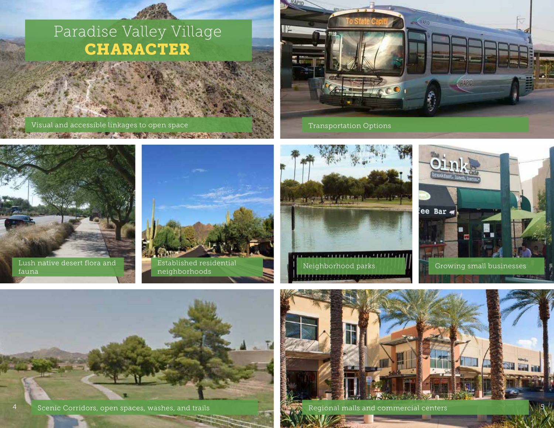## Paradise Valley Village CHARACTER

#### Visual and accessible linkages to open space Transportation Options Transportation Options













 $^\mathrm{4}$  Scenic Corridors, open spaces, washes, and trails Regional malls and commercial centers Regional malls and commercial centers Regional malls and commercial centers Regional malls and commercial centers Regional ma

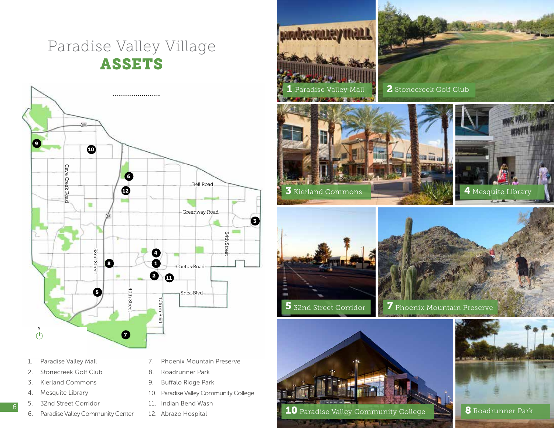## Paradise Valley Village ASSETS



- 1. Paradise Valley Mall
- 2. Stonecreek Golf Club
- 3. Kierland Commons
- 4. Mesquite Library

6

- 5. 32nd Street Corridor
- 6. Paradise Valley Community Center
- 7. Phoenix Mountain Preserve
- 8. Roadrunner Park
- 9. Buffalo Ridge Park
- 10. Paradise Valley Community College
- 11. Indian Bend Wash
- 12. Abrazo Hospital



2 Stonecreek Golf Club









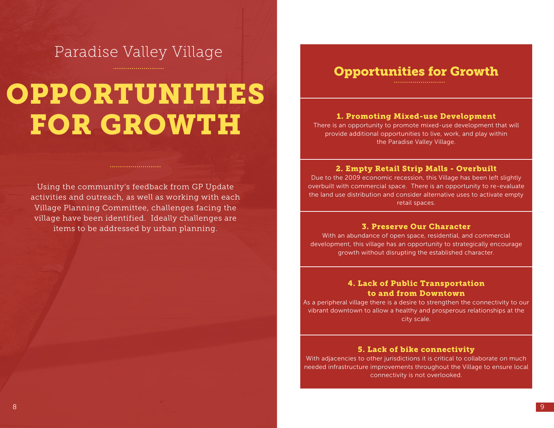### Paradise Valley Village

# OPPORTUNITIES FOR GROWTH

Using the community's feedback from GP Update activities and outreach, as well as working with each Village Planning Committee, challenges facing the village have been identified. Ideally challenges are items to be addressed by urban planning.

### Opportunities for Growth

#### 1. Promoting Mixed-use Development

There is an opportunity to promote mixed-use development that will provide additional opportunities to live, work, and play within the Paradise Valley Village.

#### 2. Empty Retail Strip Malls - Overbuilt

Due to the 2009 economic recession, this Village has been left slightly overbuilt with commercial space. There is an opportunity to re-evaluate the land use distribution and consider alternative uses to activate empty retail spaces.

#### 3. Preserve Our Character

With an abundance of open space, residential, and commercial development, this village has an opportunity to strategically encourage growth without disrupting the established character.

#### 4. Lack of Public Transportation to and from Downtown

As a peripheral village there is a desire to strengthen the connectivity to our vibrant downtown to allow a healthy and prosperous relationships at the city scale.

#### 5. Lack of bike connectivity

With adjacencies to other jurisdictions it is critical to collaborate on much needed infrastructure improvements throughout the Village to ensure local connectivity is not overlooked.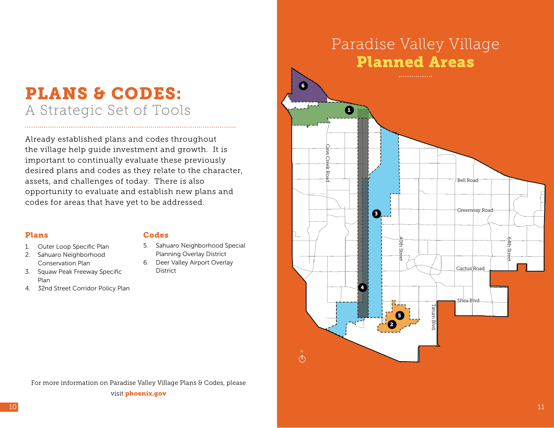## PLANS & CODES: A Strategic Set of Tools

Already established plans and codes throughout the village help guide investment and growth. It is important to continually evaluate these previously desired plans and codes as they relate to the character, assets, and challenges of today. There is also opportunity to evaluate and establish new plans and codes for areas that have yet to be addressed.

#### Plans

- 1. Outer Loop Specific Plan
- 2. Sahuaro Neighborhood Conservation Plan
- 3. Squaw Peak Freeway Specific Plan
- 4. 32nd Street Corridor Policy Plan

#### Codes

- 5. Sahuaro Neighborhood Special Planning Overlay District
- 6. Deer Valley Airport Overlay District

## Paradise Valley Village Planned Areas



For more information on Paradise Valley Village Plans & Codes, please visit phoenix.gov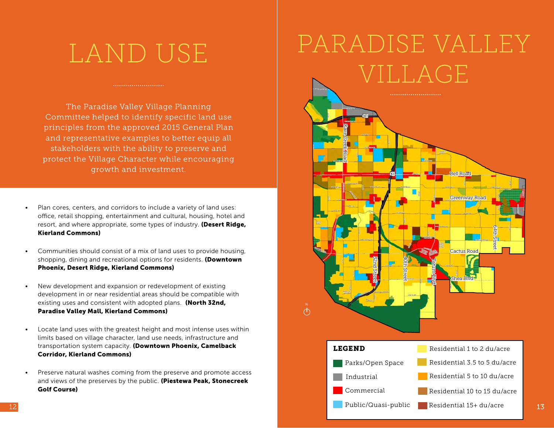## LAND USE

The Paradise Valley Village Planning Committee helped to identify specific land use principles from the approved 2015 General Plan and representative examples to better equip all stakeholders with the ability to preserve and protect the Village Character while encouraging growth and investment.

- Plan cores, centers, and corridors to include a variety of land uses: office, retail shopping, entertainment and cultural, housing, hotel and resort, and where appropriate, some types of industry. (Desert Ridge, Kierland Commons)
- Communities should consist of a mix of land uses to provide housing, shopping, dining and recreational options for residents. (Downtown Phoenix, Desert Ridge, Kierland Commons)
- New development and expansion or redevelopment of existing development in or near residential areas should be compatible with existing uses and consistent with adopted plans. (North 32nd, Paradise Valley Mall, Kierland Commons)
- Locate land uses with the greatest height and most intense uses within limits based on village character, land use needs, infrastructure and transportation system capacity. (Downtown Phoenix, Camelback Corridor, Kierland Commons)
- Preserve natural washes coming from the preserve and promote access and views of the preserves by the public. (Piestewa Peak, Stonecreek Golf Course)

# PARADISE VALLEY VILLAGE

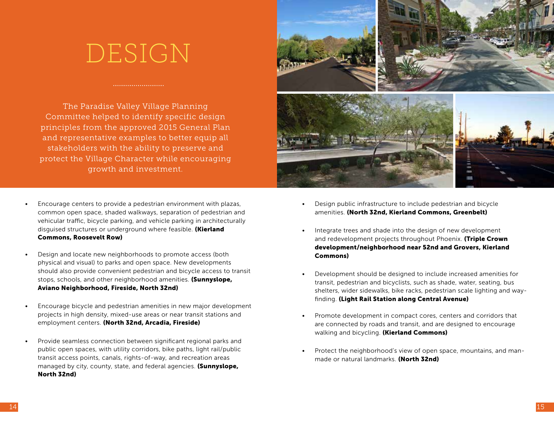## DESIGN

The Paradise Valley Village Planning Committee helped to identify specific design principles from the approved 2015 General Plan and representative examples to better equip all stakeholders with the ability to preserve and protect the Village Character while encouraging growth and investment.

- Encourage centers to provide a pedestrian environment with plazas, common open space, shaded walkways, separation of pedestrian and vehicular traffic, bicycle parking, and vehicle parking in architecturally disquised structures or underground where feasible. (Kierland Commons, Roosevelt Row)
- Design and locate new neighborhoods to promote access (both physical and visual) to parks and open space. New developments should also provide convenient pedestrian and bicycle access to transit stops, schools, and other neighborhood amenities. (Sunnyslope, Aviano Neighborhood, Fireside, North 32nd)
- Encourage bicycle and pedestrian amenities in new major development projects in high density, mixed-use areas or near transit stations and employment centers. (North 32nd, Arcadia, Fireside)
- Provide seamless connection between significant regional parks and public open spaces, with utility corridors, bike paths, light rail/public transit access points, canals, rights-of-way, and recreation areas managed by city, county, state, and federal agencies. (Sunnyslope, North 32nd)



- Design public infrastructure to include pedestrian and bicycle amenities. (North 32nd, Kierland Commons, Greenbelt)
- Integrate trees and shade into the design of new development and redevelopment projects throughout Phoenix. (Triple Crown development/neighborhood near 52nd and Grovers, Kierland Commons)
- Development should be designed to include increased amenities for transit, pedestrian and bicyclists, such as shade, water, seating, bus shelters, wider sidewalks, bike racks, pedestrian scale lighting and wayfinding. (Light Rail Station along Central Avenue)
- Promote development in compact cores, centers and corridors that are connected by roads and transit, and are designed to encourage walking and bicycling. (Kierland Commons)
- Protect the neighborhood's view of open space, mountains, and manmade or natural landmarks. (North 32nd)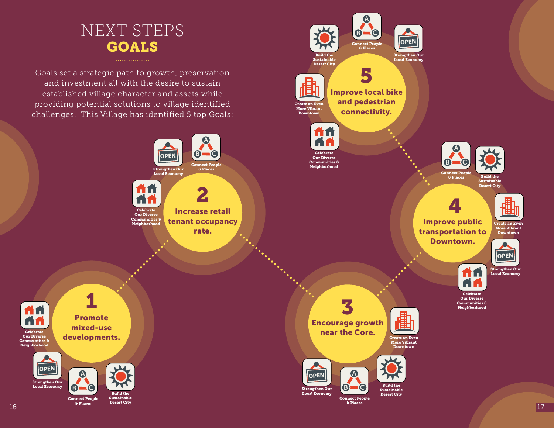## NEXT STEPS GOALS

. . . . . . . . . . . . . . .

Goals set a strategic path to growth, preservation and investment all with the desire to sustain established village character and assets while providing potential solutions to village identified challenges. This Village has identified 5 top Goals:

> Communities & Neighborhood



tenant occupancy rate.



1 A fi Promote mixed-use **Celebrate** developments. Our Diverse Communities & Neighborhood **OPEN**

> Strengthen Our Local Fcor



& Places Desert City



**OPEN**



& Places Desert City